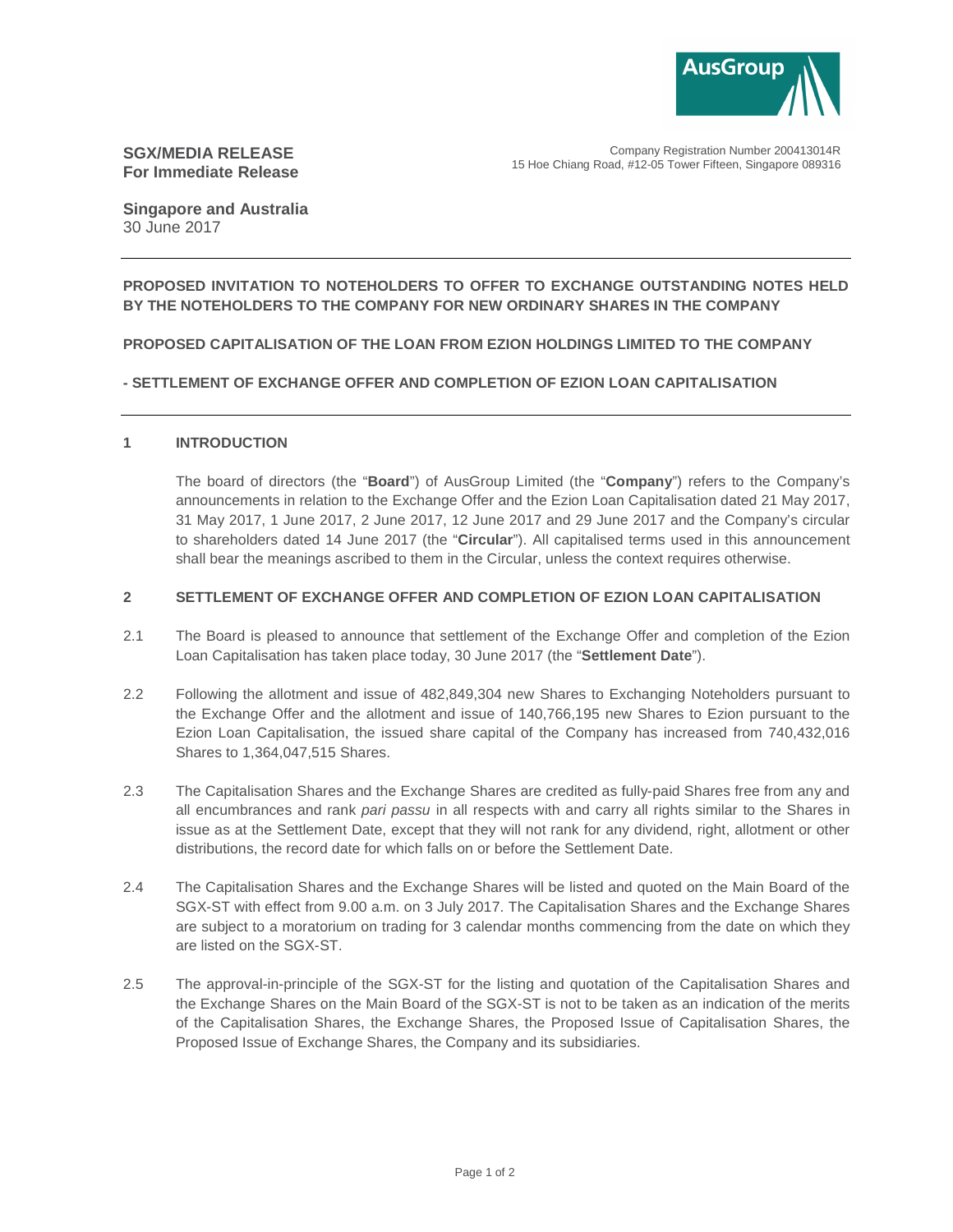

# **SGX/MEDIA RELEASE For Immediate Release**

Company Registration Number 200413014R 15 Hoe Chiang Road, #12-05 Tower Fifteen, Singapore 089316

**Singapore and Australia**  30 June 2017

## **PROPOSED INVITATION TO NOTEHOLDERS TO OFFER TO EXCHANGE OUTSTANDING NOTES HELD BY THE NOTEHOLDERS TO THE COMPANY FOR NEW ORDINARY SHARES IN THE COMPANY**

## **PROPOSED CAPITALISATION OF THE LOAN FROM EZION HOLDINGS LIMITED TO THE COMPANY**

## **- SETTLEMENT OF EXCHANGE OFFER AND COMPLETION OF EZION LOAN CAPITALISATION**

### **1 INTRODUCTION**

The board of directors (the "**Board**") of AusGroup Limited (the "**Company**") refers to the Company's announcements in relation to the Exchange Offer and the Ezion Loan Capitalisation dated 21 May 2017, 31 May 2017, 1 June 2017, 2 June 2017, 12 June 2017 and 29 June 2017 and the Company's circular to shareholders dated 14 June 2017 (the "**Circular**"). All capitalised terms used in this announcement shall bear the meanings ascribed to them in the Circular, unless the context requires otherwise.

### **2 SETTLEMENT OF EXCHANGE OFFER AND COMPLETION OF EZION LOAN CAPITALISATION**

- 2.1 The Board is pleased to announce that settlement of the Exchange Offer and completion of the Ezion Loan Capitalisation has taken place today, 30 June 2017 (the "**Settlement Date**").
- 2.2 Following the allotment and issue of 482,849,304 new Shares to Exchanging Noteholders pursuant to the Exchange Offer and the allotment and issue of 140,766,195 new Shares to Ezion pursuant to the Ezion Loan Capitalisation, the issued share capital of the Company has increased from 740,432,016 Shares to 1,364,047,515 Shares.
- 2.3 The Capitalisation Shares and the Exchange Shares are credited as fully-paid Shares free from any and all encumbrances and rank pari passu in all respects with and carry all rights similar to the Shares in issue as at the Settlement Date, except that they will not rank for any dividend, right, allotment or other distributions, the record date for which falls on or before the Settlement Date.
- 2.4 The Capitalisation Shares and the Exchange Shares will be listed and quoted on the Main Board of the SGX-ST with effect from 9.00 a.m. on 3 July 2017. The Capitalisation Shares and the Exchange Shares are subject to a moratorium on trading for 3 calendar months commencing from the date on which they are listed on the SGX-ST.
- 2.5 The approval-in-principle of the SGX-ST for the listing and quotation of the Capitalisation Shares and the Exchange Shares on the Main Board of the SGX-ST is not to be taken as an indication of the merits of the Capitalisation Shares, the Exchange Shares, the Proposed Issue of Capitalisation Shares, the Proposed Issue of Exchange Shares, the Company and its subsidiaries.